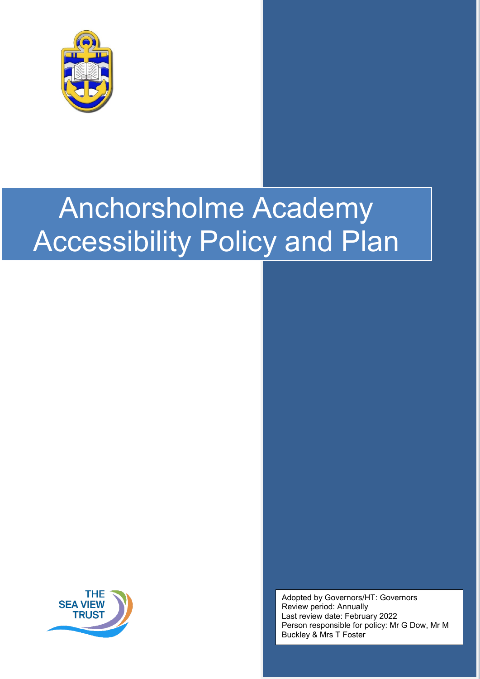



Adopted by Governors/HT: Governors Review period: Annually Last review date: February 2022 Person responsible for policy: Mr G Dow, Mr M Buckley & Mrs T Foster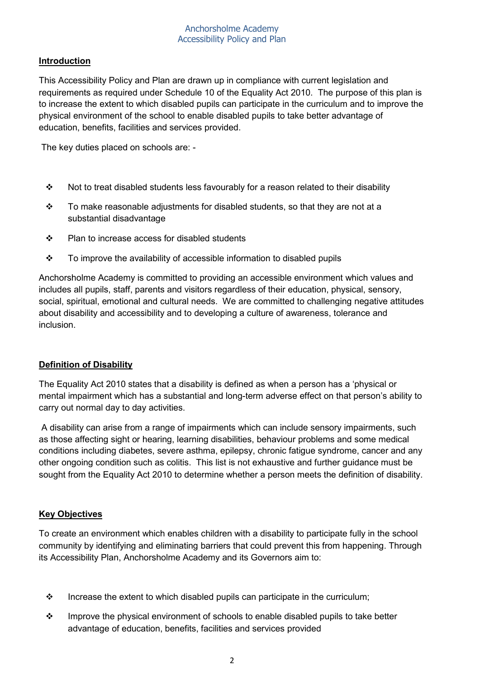## **Introduction**

This Accessibility Policy and Plan are drawn up in compliance with current legislation and requirements as required under Schedule 10 of the Equality Act 2010. The purpose of this plan is to increase the extent to which disabled pupils can participate in the curriculum and to improve the physical environment of the school to enable disabled pupils to take better advantage of education, benefits, facilities and services provided.

The key duties placed on schools are: -

- $\cdot \cdot$  Not to treat disabled students less favourably for a reason related to their disability
- $\cdot \cdot$  To make reasonable adjustments for disabled students, so that they are not at a substantial disadvantage
- Plan to increase access for disabled students
- \* To improve the availability of accessible information to disabled pupils

Anchorsholme Academy is committed to providing an accessible environment which values and includes all pupils, staff, parents and visitors regardless of their education, physical, sensory, social, spiritual, emotional and cultural needs. We are committed to challenging negative attitudes about disability and accessibility and to developing a culture of awareness, tolerance and inclusion.

## **Definition of Disability**

The Equality Act 2010 states that a disability is defined as when a person has a 'physical or mental impairment which has a substantial and long-term adverse effect on that person's ability to carry out normal day to day activities.

A disability can arise from a range of impairments which can include sensory impairments, such as those affecting sight or hearing, learning disabilities, behaviour problems and some medical conditions including diabetes, severe asthma, epilepsy, chronic fatigue syndrome, cancer and any other ongoing condition such as colitis. This list is not exhaustive and further guidance must be sought from the Equality Act 2010 to determine whether a person meets the definition of disability.

## **Key Objectives**

To create an environment which enables children with a disability to participate fully in the school community by identifying and eliminating barriers that could prevent this from happening. Through its Accessibility Plan, Anchorsholme Academy and its Governors aim to:

- $\cdot \cdot$  Increase the extent to which disabled pupils can participate in the curriculum:
- ❖ Improve the physical environment of schools to enable disabled pupils to take better advantage of education, benefits, facilities and services provided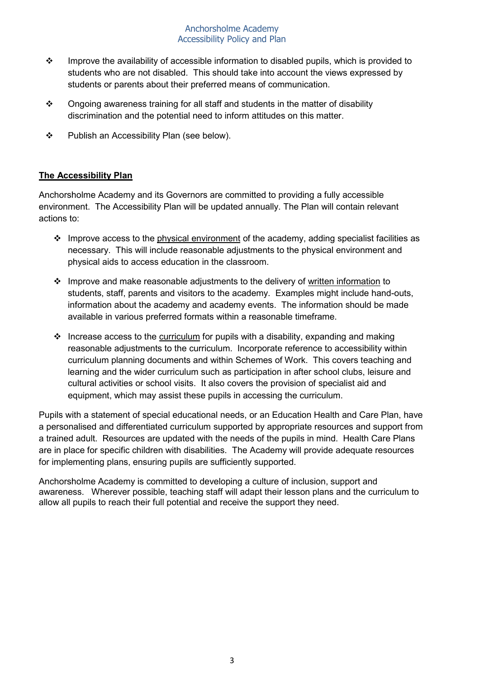- $\cdot \cdot$  Improve the availability of accessible information to disabled pupils, which is provided to students who are not disabled. This should take into account the views expressed by students or parents about their preferred means of communication.
- $\div$  Ongoing awareness training for all staff and students in the matter of disability discrimination and the potential need to inform attitudes on this matter.
- ❖ Publish an Accessibility Plan (see below).

## **The Accessibility Plan**

Anchorsholme Academy and its Governors are committed to providing a fully accessible environment. The Accessibility Plan will be updated annually. The Plan will contain relevant actions to:

- $\cdot$  Improve access to the physical environment of the academy, adding specialist facilities as necessary. This will include reasonable adjustments to the physical environment and physical aids to access education in the classroom.
- $\div$  Improve and make reasonable adjustments to the delivery of written information to students, staff, parents and visitors to the academy. Examples might include hand-outs, information about the academy and academy events. The information should be made available in various preferred formats within a reasonable timeframe.
- $\div$  Increase access to the curriculum for pupils with a disability, expanding and making reasonable adjustments to the curriculum. Incorporate reference to accessibility within curriculum planning documents and within Schemes of Work. This covers teaching and learning and the wider curriculum such as participation in after school clubs, leisure and cultural activities or school visits. It also covers the provision of specialist aid and equipment, which may assist these pupils in accessing the curriculum.

Pupils with a statement of special educational needs, or an Education Health and Care Plan, have a personalised and differentiated curriculum supported by appropriate resources and support from a trained adult. Resources are updated with the needs of the pupils in mind. Health Care Plans are in place for specific children with disabilities. The Academy will provide adequate resources for implementing plans, ensuring pupils are sufficiently supported.

Anchorsholme Academy is committed to developing a culture of inclusion, support and awareness. Wherever possible, teaching staff will adapt their lesson plans and the curriculum to allow all pupils to reach their full potential and receive the support they need.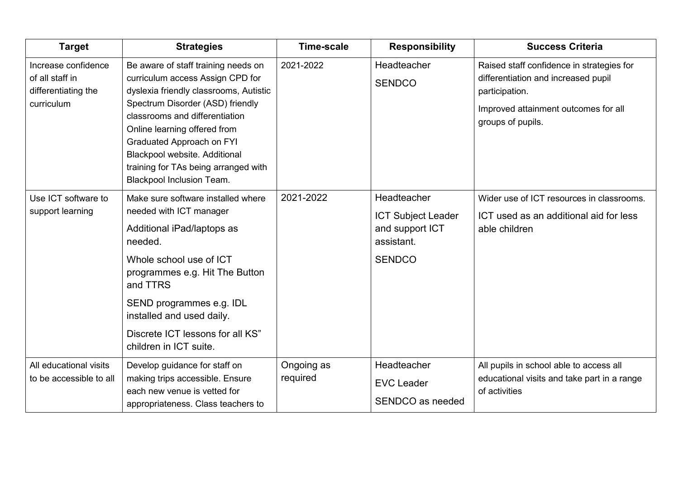| <b>Target</b>                                                               | <b>Strategies</b>                                                                                                                                                                                                                                                                                                                                                        | <b>Time-scale</b>      | <b>Responsibility</b>                                                                      | <b>Success Criteria</b>                                                                                                                                         |
|-----------------------------------------------------------------------------|--------------------------------------------------------------------------------------------------------------------------------------------------------------------------------------------------------------------------------------------------------------------------------------------------------------------------------------------------------------------------|------------------------|--------------------------------------------------------------------------------------------|-----------------------------------------------------------------------------------------------------------------------------------------------------------------|
| Increase confidence<br>of all staff in<br>differentiating the<br>curriculum | Be aware of staff training needs on<br>curriculum access Assign CPD for<br>dyslexia friendly classrooms, Autistic<br>Spectrum Disorder (ASD) friendly<br>classrooms and differentiation<br>Online learning offered from<br><b>Graduated Approach on FYI</b><br>Blackpool website. Additional<br>training for TAs being arranged with<br><b>Blackpool Inclusion Team.</b> | 2021-2022              | Headteacher<br><b>SENDCO</b>                                                               | Raised staff confidence in strategies for<br>differentiation and increased pupil<br>participation.<br>Improved attainment outcomes for all<br>groups of pupils. |
| Use ICT software to<br>support learning                                     | Make sure software installed where<br>needed with ICT manager<br>Additional iPad/laptops as<br>needed.<br>Whole school use of ICT<br>programmes e.g. Hit The Button<br>and TTRS<br>SEND programmes e.g. IDL<br>installed and used daily.<br>Discrete ICT lessons for all KS"<br>children in ICT suite.                                                                   | 2021-2022              | Headteacher<br><b>ICT Subject Leader</b><br>and support ICT<br>assistant.<br><b>SENDCO</b> | Wider use of ICT resources in classrooms.<br>ICT used as an additional aid for less<br>able children                                                            |
| All educational visits<br>to be accessible to all                           | Develop guidance for staff on<br>making trips accessible. Ensure<br>each new venue is vetted for<br>appropriateness. Class teachers to                                                                                                                                                                                                                                   | Ongoing as<br>required | Headteacher<br><b>EVC Leader</b><br>SENDCO as needed                                       | All pupils in school able to access all<br>educational visits and take part in a range<br>of activities                                                         |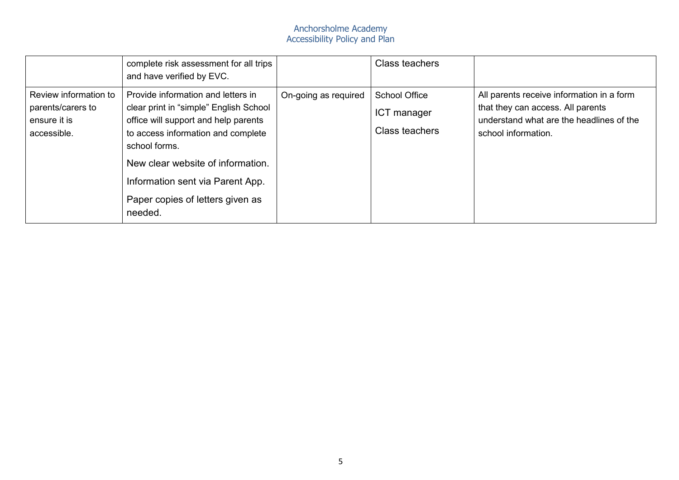|                                                                           | complete risk assessment for all trips<br>and have verified by EVC.                                                                                                                                                                                                                                 |                      | <b>Class teachers</b>                                        |                                                                                                                                                   |
|---------------------------------------------------------------------------|-----------------------------------------------------------------------------------------------------------------------------------------------------------------------------------------------------------------------------------------------------------------------------------------------------|----------------------|--------------------------------------------------------------|---------------------------------------------------------------------------------------------------------------------------------------------------|
| Review information to<br>parents/carers to<br>ensure it is<br>accessible. | Provide information and letters in<br>clear print in "simple" English School<br>office will support and help parents<br>to access information and complete<br>school forms.<br>New clear website of information.<br>Information sent via Parent App.<br>Paper copies of letters given as<br>needed. | On-going as required | <b>School Office</b><br>ICT manager<br><b>Class teachers</b> | All parents receive information in a form<br>that they can access. All parents<br>understand what are the headlines of the<br>school information. |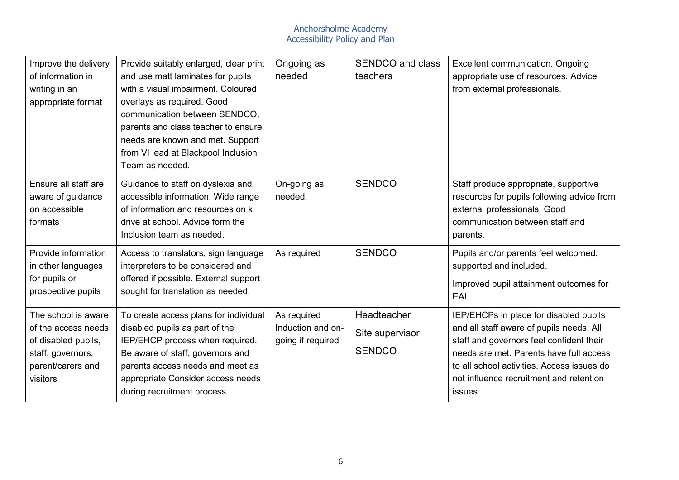| Improve the delivery<br>of information in<br>writing in an<br>appropriate format                                        | Provide suitably enlarged, clear print<br>and use matt laminates for pupils<br>with a visual impairment. Coloured<br>overlays as required. Good<br>communication between SENDCO,<br>parents and class teacher to ensure<br>needs are known and met. Support<br>from VI lead at Blackpool Inclusion<br>Team as needed. | Ongoing as<br>needed                                  | <b>SENDCO and class</b><br>teachers             | Excellent communication. Ongoing<br>appropriate use of resources. Advice<br>from external professionals.                                                                                                                                                                      |
|-------------------------------------------------------------------------------------------------------------------------|-----------------------------------------------------------------------------------------------------------------------------------------------------------------------------------------------------------------------------------------------------------------------------------------------------------------------|-------------------------------------------------------|-------------------------------------------------|-------------------------------------------------------------------------------------------------------------------------------------------------------------------------------------------------------------------------------------------------------------------------------|
| Ensure all staff are<br>aware of guidance<br>on accessible<br>formats                                                   | Guidance to staff on dyslexia and<br>accessible information. Wide range<br>of information and resources on k<br>drive at school. Advice form the<br>Inclusion team as needed.                                                                                                                                         | On-going as<br>needed.                                | <b>SENDCO</b>                                   | Staff produce appropriate, supportive<br>resources for pupils following advice from<br>external professionals. Good<br>communication between staff and<br>parents.                                                                                                            |
| Provide information<br>in other languages<br>for pupils or<br>prospective pupils                                        | Access to translators, sign language<br>interpreters to be considered and<br>offered if possible. External support<br>sought for translation as needed.                                                                                                                                                               | As required                                           | <b>SENDCO</b>                                   | Pupils and/or parents feel welcomed,<br>supported and included.<br>Improved pupil attainment outcomes for<br>EAL.                                                                                                                                                             |
| The school is aware<br>of the access needs<br>of disabled pupils,<br>staff, governors,<br>parent/carers and<br>visitors | To create access plans for individual<br>disabled pupils as part of the<br>IEP/EHCP process when required.<br>Be aware of staff, governors and<br>parents access needs and meet as<br>appropriate Consider access needs<br>during recruitment process                                                                 | As required<br>Induction and on-<br>going if required | Headteacher<br>Site supervisor<br><b>SENDCO</b> | IEP/EHCPs in place for disabled pupils<br>and all staff aware of pupils needs. All<br>staff and governors feel confident their<br>needs are met. Parents have full access<br>to all school activities. Access issues do<br>not influence recruitment and retention<br>issues. |